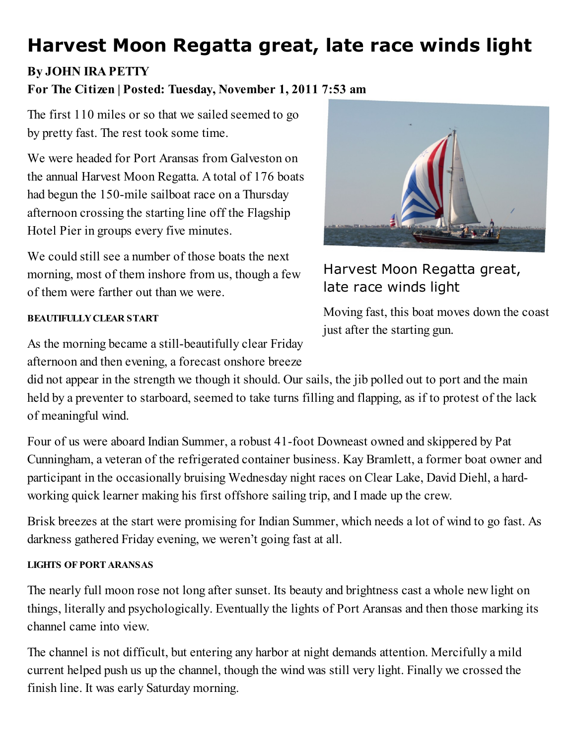# Harvest Moon Regatta great, late race winds light

## By JOHN IRA PETTY

## For The Citizen | Posted: Tuesday, November 1, 2011 7:53 am

The first 110 miles or so that we sailed seemed to go by pretty fast. The rest took some time.

We were headed for Port Aransas from Galveston on the annual Harvest Moon Regatta. A total of 176 boats had begun the 150-mile sailboat race on a Thursday afternoon crossing the starting line off the Flagship Hotel Pier in groups every five minutes.

We could still see a number of those boats the next morning, most of them inshore from us, though a few of them were farther out than we were.

#### BEAUTIFULLYCLEAR START

As the morning became a still-beautifully clear Friday afternoon and then evening, a forecast onshore breeze

Harvest Moon Regatta great, late race winds light

Moving fast, this boat moves down the coast just after the starting gun.

did not appear in the strength we though it should. Our sails, the jib polled out to port and the main held by a preventer to starboard, seemed to take turns filling and flapping, as if to protest of the lack of meaningful wind.

Four of us were aboard Indian Summer, a robust 41-foot Downeast owned and skippered by Pat Cunningham, a veteran of the refrigerated container business. Kay Bramlett, a former boat owner and participant in the occasionally bruising Wednesday night races on Clear Lake, David Diehl, a hardworking quick learner making his first offshore sailing trip, and I made up the crew.

Brisk breezes at the start were promising for Indian Summer, which needs a lot of wind to go fast. As darkness gathered Friday evening, we weren't going fast at all.

#### LIGHTS OF PORT ARANSAS

The nearly full moon rose not long after sunset. Its beauty and brightness cast a whole new light on things, literally and psychologically. Eventually the lights of Port Aransas and then those marking its channel came into view.

The channel is not difficult, but entering any harbor at night demands attention. Mercifully a mild current helped push us up the channel, though the wind was still very light. Finally we crossed the finish line. It was early Saturday morning.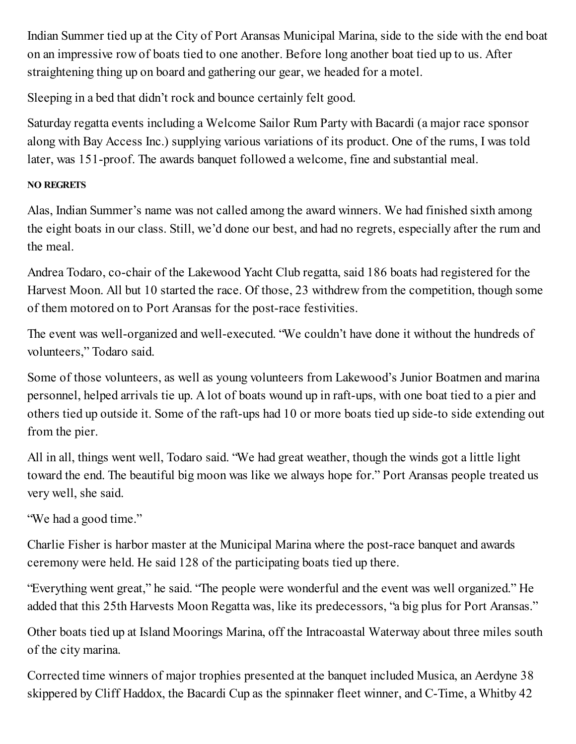Indian Summer tied up at the City of Port Aransas Municipal Marina, side to the side with the end boat on an impressive row of boats tied to one another. Before long another boat tied up to us. After straightening thing up on board and gathering our gear, we headed for a motel.

Sleeping in a bed that didn't rock and bounce certainly felt good.

Saturday regatta events including a Welcome Sailor Rum Party with Bacardi (a major race sponsor along with Bay Access Inc.) supplying various variations of its product. One of the rums, I was told later, was 151-proof. The awards banquet followed a welcome, fine and substantial meal.

### NO REGRETS

Alas, Indian Summer's name was not called among the award winners. We had finished sixth among the eight boats in our class. Still, we'd done our best, and had no regrets, especially after the rum and the meal.

Andrea Todaro, co-chair of the Lakewood Yacht Club regatta, said 186 boats had registered for the Harvest Moon. All but 10 started the race. Of those, 23 withdrew from the competition, though some of them motored on to Port Aransas for the post-race festivities.

The event was well-organized and well-executed. "We couldn't have done it without the hundreds of volunteers," Todaro said.

Some of those volunteers, as well as young volunteers from Lakewood's Junior Boatmen and marina personnel, helped arrivals tie up. A lot of boats wound up in raft-ups, with one boat tied to a pier and others tied up outside it. Some of the raft-ups had 10 or more boats tied up side-to side extending out from the pier.

All in all, things went well, Todaro said. "We had great weather, though the winds got a little light toward the end. The beautiful big moon was like we always hope for." Port Aransas people treated us very well, she said.

"We had a good time."

Charlie Fisher is harbor master at the Municipal Marina where the post-race banquet and awards ceremony were held. He said 128 of the participating boats tied up there.

"Everything went great," he said. "The people were wonderful and the event was well organized." He added that this 25th Harvests Moon Regatta was, like its predecessors, "a big plus for Port Aransas."

Other boats tied up at Island Moorings Marina, off the Intracoastal Waterway about three miles south of the city marina.

Corrected time winners of major trophies presented at the banquet included Musica, an Aerdyne 38 skippered by Cliff Haddox, the Bacardi Cup as the spinnaker fleet winner, and C-Time, a Whitby 42